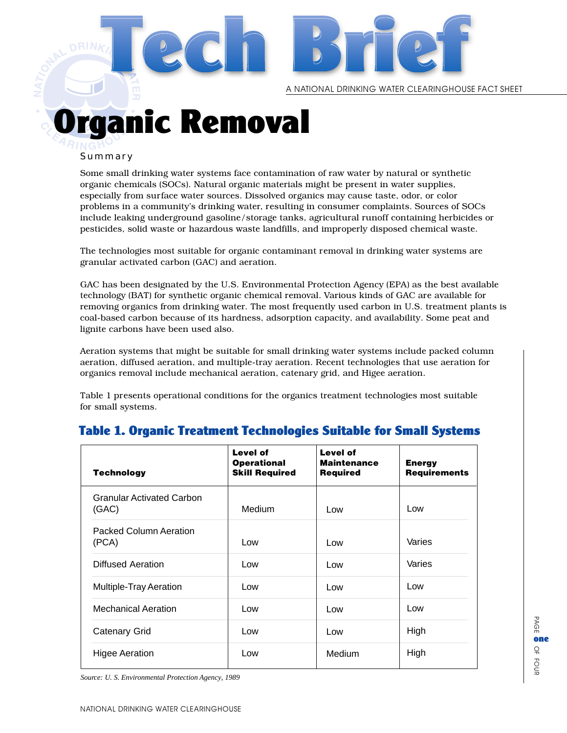



A NATIONAL DRINKING WATER CLEARINGHOUSE FACT SHEET

# rganic Removal

# Summary

Some small drinking water systems face contamination of raw water by natural or synthetic organic chemicals (SOCs). Natural organic materials might be present in water supplies, especially from surface water sources. Dissolved organics may cause taste, odor, or color problems in a community's drinking water, resulting in consumer complaints. Sources of SOCs include leaking underground gasoline/storage tanks, agricultural runoff containing herbicides or pesticides, solid waste or hazardous waste landfills, and improperly disposed chemical waste.

The technologies most suitable for organic contaminant removal in drinking water systems are granular activated carbon (GAC) and aeration.

l.<br>1 GAC has been designated by the U.S. Environmental Protection Agency (EPA) as the best available technology (BAT) for synthetic organic chemical removal. Various kinds of GAC are available for removing organics from drinking water. The most frequently used carbon in U.S. treatment plants is coal-based carbon because of its hardness, adsorption capacity, and availability. Some peat and lignite carbons have been used also.

Aeration systems that might be suitable for small drinking water systems include packed column aeration, diffused aeration, and multiple-tray aeration. Recent technologies that use aeration for organics removal include mechanical aeration, catenary grid, and Higee aeration.

| Table 1. Organic Treatment Technologies Suitable for Small Systems |                                                                |                                                          |                                      |
|--------------------------------------------------------------------|----------------------------------------------------------------|----------------------------------------------------------|--------------------------------------|
| <b>Technology</b>                                                  | <b>Level of</b><br><b>Operational</b><br><b>Skill Required</b> | <b>Level of</b><br><b>Maintenance</b><br><b>Required</b> | <b>Energy</b><br><b>Requirements</b> |
| <b>Granular Activated Carbon</b><br>(GAC)                          | Medium                                                         | Low                                                      | Low                                  |
| <b>Packed Column Aeration</b><br>(PCA)                             | Low                                                            | Low                                                      | Varies                               |
| <b>Diffused Aeration</b>                                           | Low                                                            | Low                                                      | Varies                               |
| Multiple-Tray Aeration                                             | Low                                                            | Low                                                      | Low                                  |
| <b>Mechanical Aeration</b>                                         | Low                                                            | Low                                                      | Low                                  |
| <b>Catenary Grid</b>                                               | Low                                                            | Low                                                      | High                                 |
| <b>Higee Aeration</b>                                              | Low                                                            | Medium                                                   | High                                 |

# Table 1. Organic Treatment Technologies Suitable for Small Systems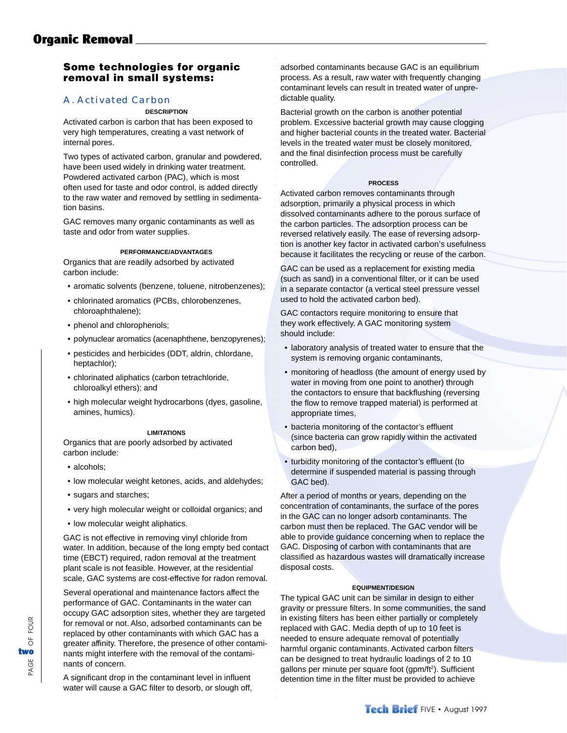# Organic Removal

# **removal in small systems:**

### A. Activated Carbon

#### **DESCRIPTION**

Activated carbon is carbon that has been exposed to very high temperatures, creating a vast network of internal pores.

Two types of activated carbon, granular and powdered, have been used widely in drinking water treatment. Powdered activated carbon (PAC), which is most often used for taste and odor control, is added directly to the raw water and removed by settling in sedimentation basins.

GAC removes many organic contaminants as well as taste and odor from water supplies.

#### **PERFORMANCE/ADVANTAGES**

Organics that are readily adsorbed by activated carbon include:

- aromatic solvents (benzene, toluene, nitrobenzenes);
- chlorinated aromatics (PCBs, chlorobenzenes, chloroaphthalene);
- phenol and chlorophenols;
- polynuclear aromatics (acenaphthene, benzopyrenes);
- pesticides and herbicides (DDT, aldrin, chlordane, heptachlor);
- chlorinated aliphatics (carbon tetrachloride, chloroalkyl ethers); and
- high molecular weight hydrocarbons (dyes, gasoline, amines, humics).

#### **LIMITATIONS**

Organics that are poorly adsorbed by activated carbon include:

- alcohols;
- low molecular weight ketones, acids, and aldehydes;
- sugars and starches;
- very high molecular weight or colloidal organics; and
- low molecular weight aliphatics.

GAC is not effective in removing vinyl chloride from water. In addition, because of the long empty bed contact time (EBCT) required, radon removal at the treatment plant scale is not feasible. However, at the residential scale, GAC systems are cost-effective for radon removal.

**Some technologies for organic**<br> **Framoval in small systems:**<br>
A. Activated carbon is cabon that has been exposed to<br>
overy high temperatures, creating a vast network of<br>
the miliones.<br>
Two types of activated carbon, granu Several operational and maintenance factors affect the performance of GAC. Contaminants in the water can occupy GAC adsorption sites, whether they are targeted for removal or not. Also, adsorbed contaminants can be replaced by other contaminants with which GAC has a greater affinity. Therefore, the presence of other contaminants might interfere with the removal of the contaminants of concern.

A significant drop in the contaminant level in influent water will cause a GAC filter to desorb, or slough off,

adsorbed contaminants because GAC is an equilibrium process. As a result, raw water with frequently changing contaminant levels can result in treated water of unpredictable quality.

Bacterial growth on the carbon is another potential problem. Excessive bacterial growth may cause clogging and higher bacterial counts in the treated water. Bacterial levels in the treated water must be closely monitored, and the final disinfection process must be carefully controlled.

#### **PROCESS**

Activated carbon removes contaminants through adsorption, primarily a physical process in which dissolved contaminants adhere to the porous surface of the carbon particles. The adsorption process can be reversed relatively easily. The ease of reversing adsorption is another key factor in activated carbon's usefulness because it facilitates the recycling or reuse of the carbon.

GAC can be used as a replacement for existing media (such as sand) in a conventional filter, or it can be used in a separate contactor (a vertical steel pressure vessel used to hold the activated carbon bed).

GAC contactors require monitoring to ensure that they work effectively. A GAC monitoring system should include:

- laboratory analysis of treated water to ensure that the system is removing organic contaminants,
- monitoring of headloss (the amount of energy used by water in moving from one point to another) through the contactors to ensure that backflushing (reversing the flow to remove trapped material) is performed at appropriate times,
- bacteria monitoring of the contactor's effluent (since bacteria can grow rapidly within the activated carbon bed),
- turbidity monitoring of the contactor's effluent (to determine if suspended material is passing through GAC bed).

After a period of months or years, depending on the concentration of contaminants, the surface of the pores in the GAC can no longer adsorb contaminants. The carbon must then be replaced. The GAC vendor will be able to provide guidance concerning when to replace the GAC. Disposing of carbon with contaminants that are classified as hazardous wastes will dramatically increase disposal costs.

#### **EQUIPMENT/DESIGN**

The typical GAC unit can be similar in design to either gravity or pressure filters. In some communities, the sand in existing filters has been either partially or completely replaced with GAC. Media depth of up to 10 feet is needed to ensure adequate removal of potentially harmful organic contaminants. Activated carbon filters can be designed to treat hydraulic loadings of 2 to 10 gallons per minute per square foot (gpm/ft<sup>2</sup>). Sufficient detention time in the filter must be provided to achieve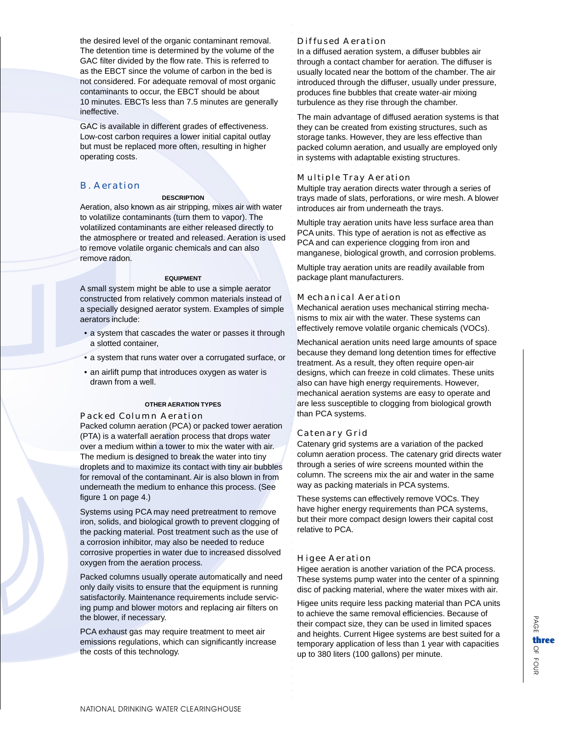the desired level of the organic contaminant removal. The detention time is determined by the volume of the GAC filter divided by the flow rate. This is referred to as the EBCT since the volume of carbon in the bed is not considered. For adequate removal of most organic contaminants to occur, the EBCT should be about 10 minutes. EBCTs less than 7.5 minutes are generally ineffective.

GAC is available in different grades of effectiveness. Low-cost carbon requires a lower initial capital outlay but must be replaced more often, resulting in higher operating costs.

#### B. Aeration

#### **DESCRIPTION**

Aeration, also known as air stripping, mixes air with water to volatilize contaminants (turn them to vapor). The volatilized contaminants are either released directly to the atmosphere or treated and released. Aeration is used to remove volatile organic chemicals and can also remove radon.

#### **EQUIPMENT**

A small system might be able to use a simple aerator constructed from relatively common materials instead of a specially designed aerator system. Examples of simple aerators include:

- a system that cascades the water or passes it through a slotted container,
- a system that runs water over a corrugated surface, or
- an airlift pump that introduces oxygen as water is drawn from a well.

#### **OTHER AERATION TYPES**

#### Packed Column Aeration

Packed column aeration (PCA) or packed tower aeration (PTA) is a waterfall aeration process that drops water over a medium within a tower to mix the water with air. The medium is designed to break the water into tiny droplets and to maximize its contact with tiny air bubbles for removal of the contaminant. Air is also blown in from underneath the medium to enhance this process. (See figure 1 on page 4.)

Systems using PCA may need pretreatment to remove iron, solids, and biological growth to prevent clogging of the packing material. Post treatment such as the use of a corrosion inhibitor, may also be needed to reduce corrosive properties in water due to increased dissolved oxygen from the aeration process.

Packed columns usually operate automatically and need only daily visits to ensure that the equipment is running satisfactorily. Maintenance requirements include servicing pump and blower motors and replacing air filters on the blower, if necessary.

PCA exhaust gas may require treatment to meet air emissions regulations, which can significantly increase the costs of this technology.

#### Diffused Aeration

aaaaaaaaaaaaaa

In a diffused aeration system, a diffuser bubbles air through a contact chamber for aeration. The diffuser is usually located near the bottom of the chamber. The air introduced through the diffuser, usually under pressure, produces fine bubbles that create water-air mixing turbulence as they rise through the chamber.

The main advantage of diffused aeration systems is that they can be created from existing structures, such as storage tanks. However, they are less effective than packed column aeration, and usually are employed only in systems with adaptable existing structures.

#### Multiple Tray Aeration

Multiple tray aeration directs water through a series of trays made of slats, perforations, or wire mesh. A blower introduces air from underneath the trays.

Multiple tray aeration units have less surface area than PCA units. This type of aeration is not as effective as PCA and can experience clogging from iron and manganese, biological growth, and corrosion problems.

Multiple tray aeration units are readily available from package plant manufacturers.

#### Mechanical Aeration

Mechanical aeration uses mechanical stirring mechanisms to mix air with the water. These systems can effectively remove volatile organic chemicals (VOCs).

Mechanical aeration units need large amounts of space because they demand long detention times for effective treatment. As a result, they often require open-air designs, which can freeze in cold climates. These units also can have high energy requirements. However, mechanical aeration systems are easy to operate and are less susceptible to clogging from biological growth than PCA systems.

#### Catenary Grid

aaaaaaaaaaaaaaaaaaaaaaaaaaaaaaaaaaaaaaaaaaaaaaaaaaaaaaaaaaaaaaaaaaaaaaaaaaaaa

Catenary grid systems are a variation of the packed column aeration process. The catenary grid directs water through a series of wire screens mounted within the column. The screens mix the air and water in the same way as packing materials in PCA systems.

These systems can effectively remove VOCs. They have higher energy requirements than PCA systems, but their more compact design lowers their capital cost relative to PCA.

#### Higee Aeration

Higee aeration is another variation of the PCA process. These systems pump water into the center of a spinning disc of packing material, where the water mixes with air.

Higee units require less packing material than PCA units to achieve the same removal efficiencies. Because of their compact size, they can be used in limited spaces and heights. Current Higee systems are best suited for a temporary application of less than 1 year with capacities up to 380 liters (100 gallons) per minute.